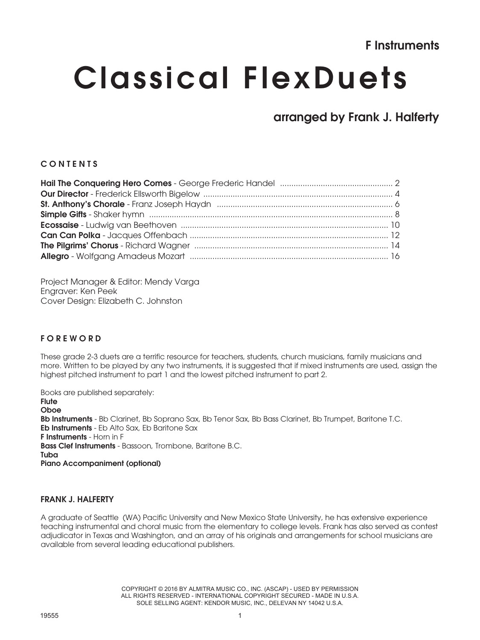# Classical FlexDuets

#### arranged by Frank J. Halferty

#### **CONTENTS**

Project Manager & Editor: Mendy Varga Engraver: Ken Peek Cover Design: Elizabeth C. Johnston

#### F O R E W O R D

These grade 2-3 duets are a terrific resource for teachers, students, church musicians, family musicians and more. Written to be played by any two instruments, it is suggested that if mixed instruments are used, assign the highest pitched instrument to part 1 and the lowest pitched instrument to part 2.

Books are published separately: **Flute** Ohoe Bb Instruments - Bb Clarinet, Bb Soprano Sax, Bb Tenor Sax, Bb Bass Clarinet, Bb Trumpet, Baritone T.C. Eb Instruments - Eb Alto Sax, Eb Baritone Sax F Instruments - Horn in F **Bass Clef Instruments** - Bassoon, Trombone, Baritone B.C. Tuba Piano Accompaniment (optional)

#### FRANK J. HALFERTY

A graduate of Seattle (WA) Pacific University and New Mexico State University, he has extensive experience teaching instrumental and choral music from the elementary to college levels. Frank has also served as contest adjudicator in Texas and Washington, and an array of his originals and arrangements for school musicians are available from several leading educational publishers.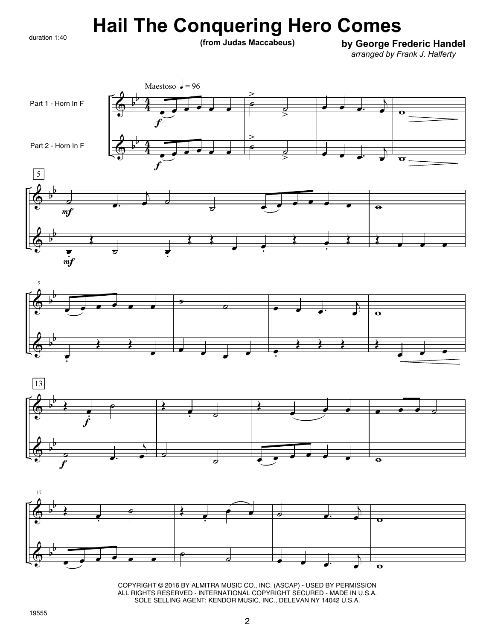#### **Hail The Conquering Hero Comes** duration 1:40 **(from Judas Maccabeus)**

**by George Frederic Handel** *arranged by Frank J. Halferty*



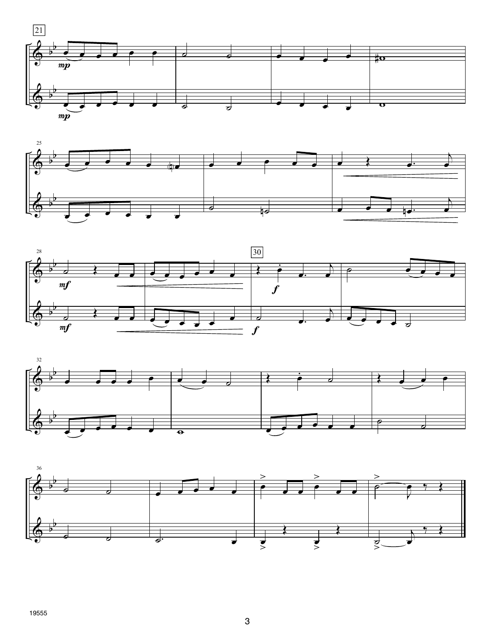







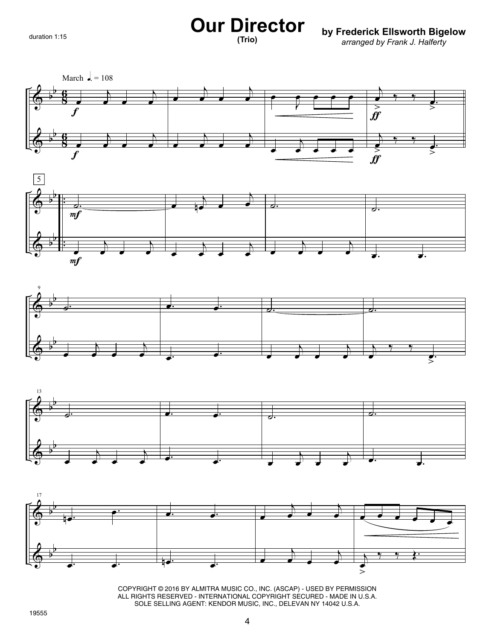#### **Our Director by Frederick Ellsworth Bigelow (Trio)**

## *arranged by Frank J. Halferty*









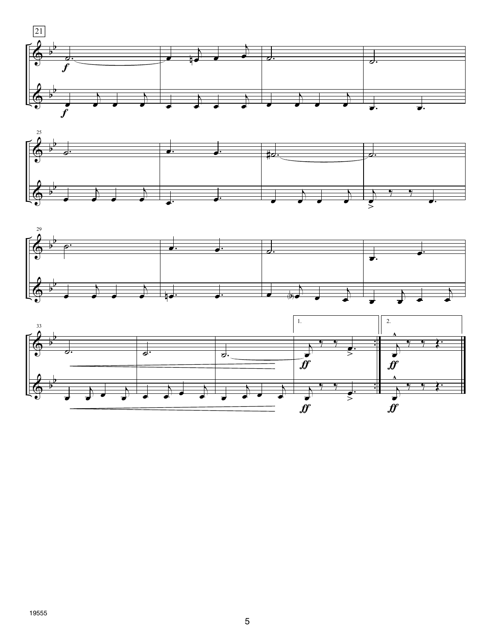





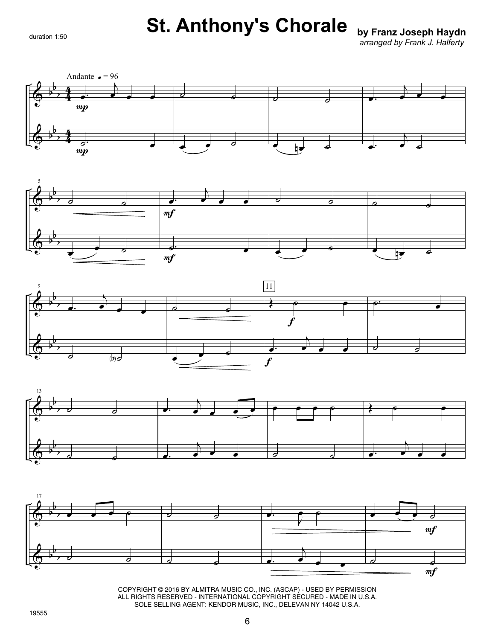duration 1:50

## **St. Anthony's Chorale by Franz Joseph Haydn**

*arranged by Frank J. Halferty*









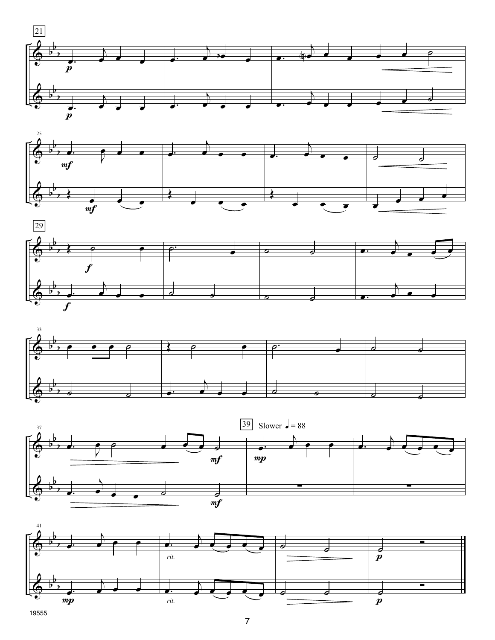









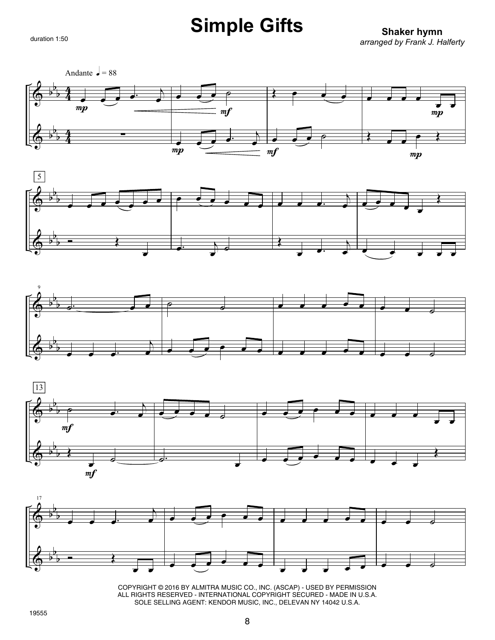**Simple Gifts** Shaker hymn

*arranged by Frank J. Halferty*













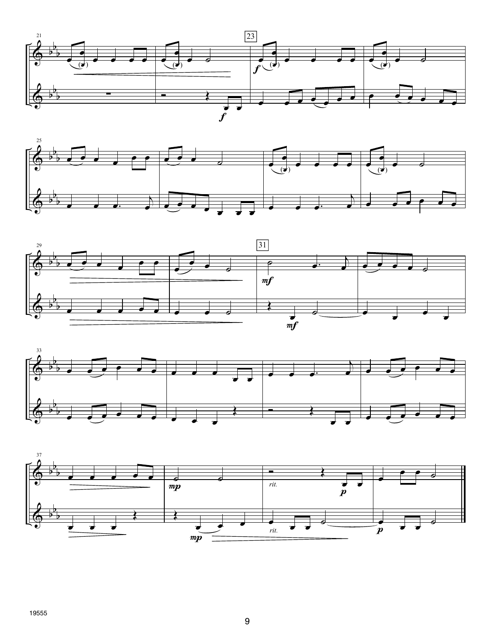







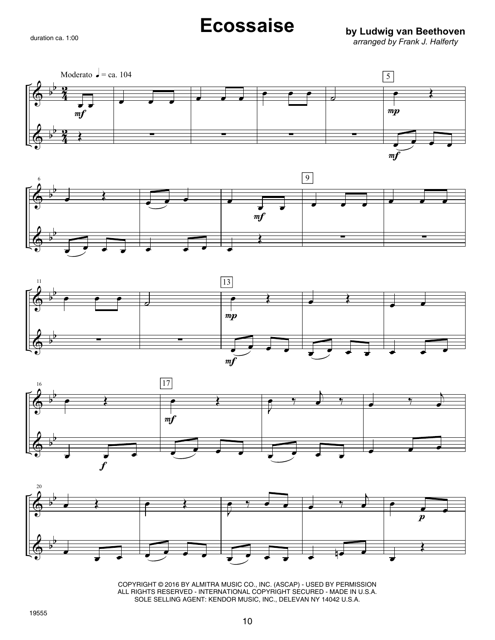## **Ecossaise**









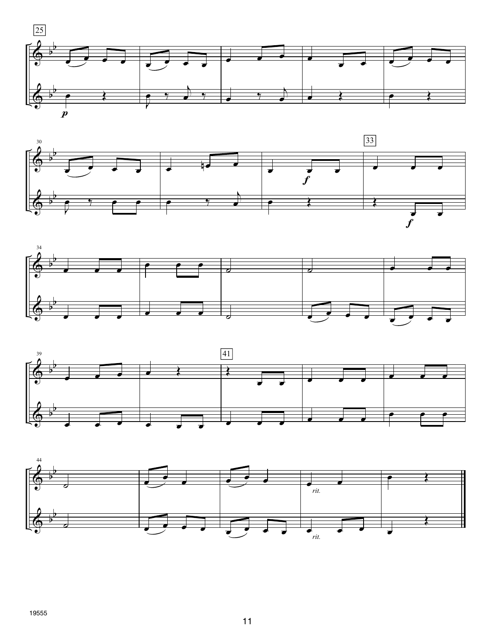







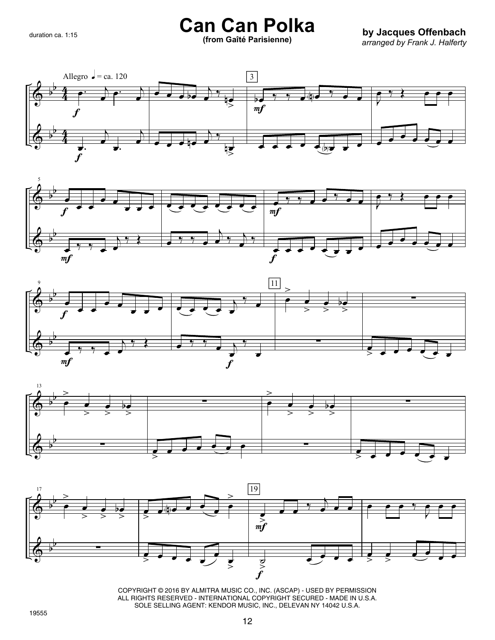## **Can Can Polka by Jacques Offenbach**

**(from Gaîté Parisienne)**









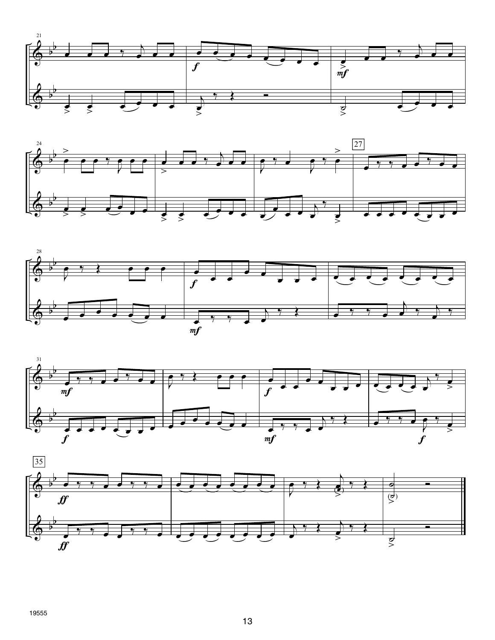







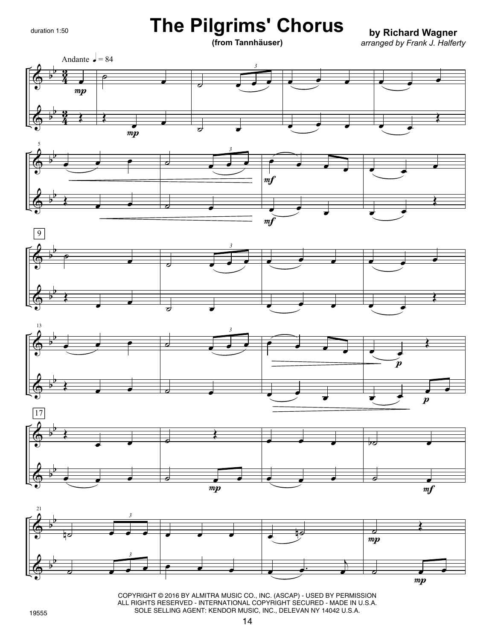## **The Pilgrims' Chorus**

**(from Tannhäuser)**

**by Richard Wagner** *arranged by Frank J. Halferty*











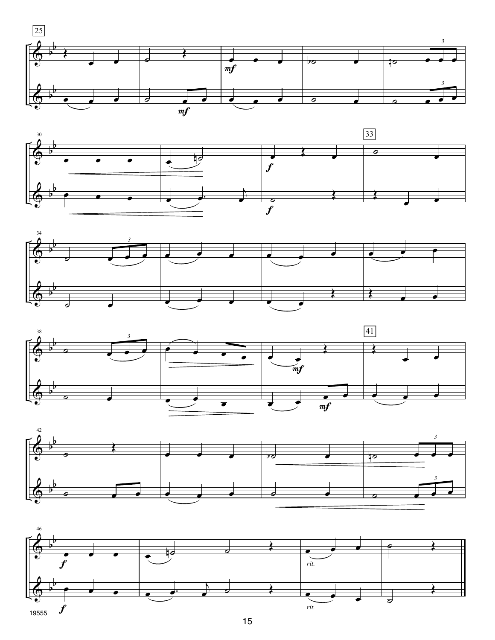